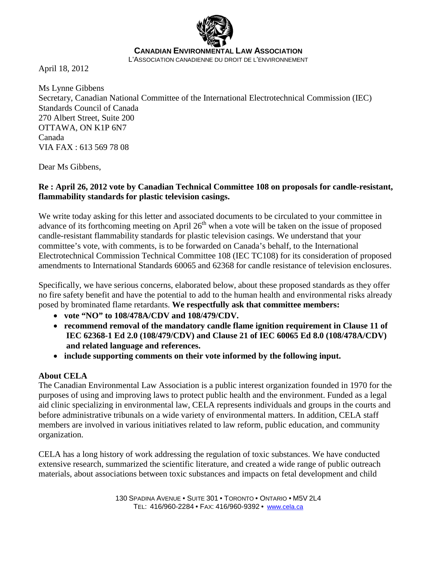

April 18, 2012

Ms Lynne Gibbens Secretary, Canadian National Committee of the International Electrotechnical Commission (IEC) Standards Council of Canada 270 Albert Street, Suite 200 OTTAWA, ON K1P 6N7 Canada VIA FAX : 613 569 78 08

Dear Ms Gibbens,

### **Re : April 26, 2012 vote by Canadian Technical Committee 108 on proposals for candle-resistant, flammability standards for plastic television casings.**

We write today asking for this letter and associated documents to be circulated to your committee in advance of its forthcoming meeting on April  $26<sup>th</sup>$  when a vote will be taken on the issue of proposed candle-resistant flammability standards for plastic television casings. We understand that your committee's vote, with comments, is to be forwarded on Canada's behalf, to the International Electrotechnical Commission Technical Committee 108 (IEC TC108) for its consideration of proposed amendments to International Standards 60065 and 62368 for candle resistance of television enclosures.

Specifically, we have serious concerns, elaborated below, about these proposed standards as they offer no fire safety benefit and have the potential to add to the human health and environmental risks already posed by brominated flame retardants. **We respectfully ask that committee members:**

- **vote "NO" to 108/478A/CDV and 108/479/CDV.**
- **recommend removal of the mandatory candle flame ignition requirement in Clause 11 of IEC 62368-1 Ed 2.0 (108/479/CDV) and Clause 21 of IEC 60065 Ed 8.0 (108/478A/CDV) and related language and references.**
- **include supporting comments on their vote informed by the following input.**

# **About CELA**

The Canadian Environmental Law Association is a public interest organization founded in 1970 for the purposes of using and improving laws to protect public health and the environment. Funded as a legal aid clinic specializing in environmental law, CELA represents individuals and groups in the courts and before administrative tribunals on a wide variety of environmental matters. In addition, CELA staff members are involved in various initiatives related to law reform, public education, and community organization.

CELA has a long history of work addressing the regulation of toxic substances. We have conducted extensive research, summarized the scientific literature, and created a wide range of public outreach materials, about associations between toxic substances and impacts on fetal development and child

> 130 SPADINA AVENUE • SUITE 301 • TORONTO • ONTARIO • M5V 2L4 TEL: 416/960-2284 • FAX: 416/960-9392 • [www.cela.ca](http://www.cela.ca/)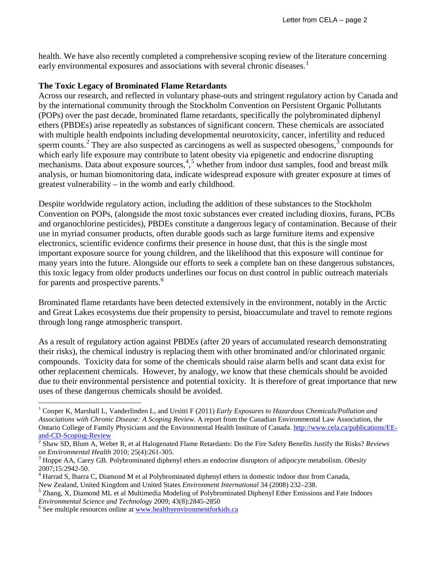health. We have also recently completed a comprehensive scoping review of the literature concerning early environmental exposures and associations with several chronic diseases.<sup>[1](#page-1-0)</sup>

### **The Toxic Legacy of Brominated Flame Retardants**

Across our research, and reflected in voluntary phase-outs and stringent regulatory action by Canada and by the international community through the Stockholm Convention on Persistent Organic Pollutants (POPs) over the past decade, brominated flame retardants, specifically the polybrominated diphenyl ethers (PBDEs) arise repeatedly as substances of significant concern. These chemicals are associated with multiple health endpoints including developmental neurotoxicity, cancer, infertility and reduced sperm counts.<sup>[2](#page-1-1)</sup> They are also suspected as carcinogens as well as suspected obesogens, $3$  compounds for which early life exposure may contribute to latent obesity via epigenetic and endocrine disrupting mechanisms. Data about exposure sources,<sup>[4](#page-1-3),[5](#page-1-4)</sup> whether from indoor dust samples, food and breast milk analysis, or human biomonitoring data, indicate widespread exposure with greater exposure at times of greatest vulnerability – in the womb and early childhood.

Despite worldwide regulatory action, including the addition of these substances to the Stockholm Convention on POPs, (alongside the most toxic substances ever created including dioxins, furans, PCBs and organochlorine pesticides), PBDEs constitute a dangerous legacy of contamination. Because of their use in myriad consumer products, often durable goods such as large furniture items and expensive electronics, scientific evidence confirms their presence in house dust, that this is the single most important exposure source for young children, and the likelihood that this exposure will continue for many years into the future. Alongside our efforts to seek a complete ban on these dangerous substances, this toxic legacy from older products underlines our focus on dust control in public outreach materials for parents and prospective parents.<sup>[6](#page-1-5)</sup>

Brominated flame retardants have been detected extensively in the environment, notably in the Arctic and Great Lakes ecosystems due their propensity to persist, bioaccumulate and travel to remote regions through long range atmospheric transport.

As a result of regulatory action against PBDEs (after 20 years of accumulated research demonstrating their risks), the chemical industry is replacing them with other brominated and/or chlorinated organic compounds. Toxicity data for some of the chemicals should raise alarm bells and scant data exist for other replacement chemicals. However, by analogy, we know that these chemicals should be avoided due to their environmental persistence and potential toxicity. It is therefore of great importance that new uses of these dangerous chemicals should be avoided.

<span id="page-1-4"></span>New Zealand, United Kingdom and United States *Environment International* 34 (2008) 232–238. <sup>5</sup> Zhang, X, Diamond ML et al Multimedia Modeling of Polybrominated Diphenyl Ether Emissions and Fate Indoors *Environmental Science and Technology* 2009; 43(8):2845-2850 <sup>6</sup> See multiple resources online at [www.healthyenvironmentforkids.ca](http://www.healthyenvironmentforkids.ca/)

<span id="page-1-0"></span> <sup>1</sup> Cooper K, Marshall L, Vanderlinden L, and Ursitti F (2011) *Early Exposures to Hazardous Chemicals/Pollution and Associations with Chronic Disease: A Scoping Review*. A report from the Canadian Environmental Law Association, the Ontario College of Family Physicians and the Environmental Health Institute of Canada. [http://www.cela.ca/publications/EE](http://www.cela.ca/publications/EE-and-CD-Scoping-Review)[and-CD-Scoping-Review](http://www.cela.ca/publications/EE-and-CD-Scoping-Review)<br><sup>2</sup> Shaw SD, Blum A, Weber R, et al Halogenated Flame Retardants: Do the Fire Safety Benefits Justify the Risks? *Reviews* 

<span id="page-1-1"></span>*on Environmental Health* 2010; 25(4):261-305.<br><sup>3</sup> Hoppe AA, Carey GB. Polybrominated diphenyl ethers as endocrine disruptors of adipocyte metabolism. *Obesity* 

<span id="page-1-2"></span>

<span id="page-1-3"></span><sup>2007;15:2942-50.&</sup>lt;br><sup>4</sup> Harrad S, Ibarra C, Diamond M et al Polybrominated diphenyl ethers in domestic indoor dust from Canada,

<span id="page-1-5"></span>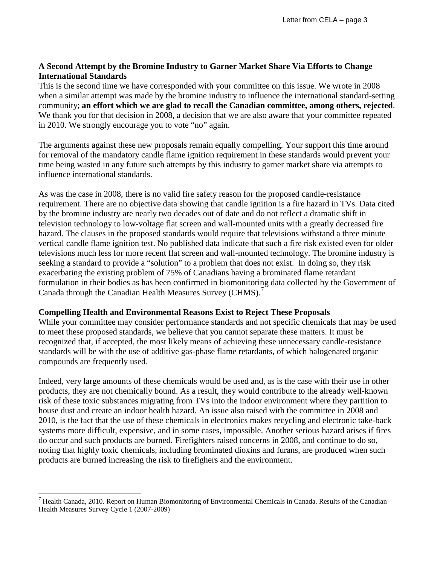## **A Second Attempt by the Bromine Industry to Garner Market Share Via Efforts to Change International Standards**

This is the second time we have corresponded with your committee on this issue. We wrote in 2008 when a similar attempt was made by the bromine industry to influence the international standard-setting community; **an effort which we are glad to recall the Canadian committee, among others, rejected**. We thank you for that decision in 2008, a decision that we are also aware that your committee repeated in 2010. We strongly encourage you to vote "no" again.

The arguments against these new proposals remain equally compelling. Your support this time around for removal of the mandatory candle flame ignition requirement in these standards would prevent your time being wasted in any future such attempts by this industry to garner market share via attempts to influence international standards.

As was the case in 2008, there is no valid fire safety reason for the proposed candle-resistance requirement. There are no objective data showing that candle ignition is a fire hazard in TVs. Data cited by the bromine industry are nearly two decades out of date and do not reflect a dramatic shift in television technology to low-voltage flat screen and wall-mounted units with a greatly decreased fire hazard. The clauses in the proposed standards would require that televisions withstand a three minute vertical candle flame ignition test. No published data indicate that such a fire risk existed even for older televisions much less for more recent flat screen and wall-mounted technology. The bromine industry is seeking a standard to provide a "solution" to a problem that does not exist. In doing so, they risk exacerbating the existing problem of 75% of Canadians having a brominated flame retardant formulation in their bodies as has been confirmed in biomonitoring data collected by the Government of Canada through the Canadian Health Measures Survey (CHMS).<sup>[7](#page-2-0)</sup>

## **Compelling Health and Environmental Reasons Exist to Reject These Proposals**

While your committee may consider performance standards and not specific chemicals that may be used to meet these proposed standards, we believe that you cannot separate these matters. It must be recognized that, if accepted, the most likely means of achieving these unnecessary candle-resistance standards will be with the use of additive gas-phase flame retardants, of which halogenated organic compounds are frequently used.

Indeed, very large amounts of these chemicals would be used and, as is the case with their use in other products, they are not chemically bound. As a result, they would contribute to the already well-known risk of these toxic substances migrating from TVs into the indoor environment where they partition to house dust and create an indoor health hazard. An issue also raised with the committee in 2008 and 2010, is the fact that the use of these chemicals in electronics makes recycling and electronic take-back systems more difficult, expensive, and in some cases, impossible. Another serious hazard arises if fires do occur and such products are burned. Firefighters raised concerns in 2008, and continue to do so, noting that highly toxic chemicals, including brominated dioxins and furans, are produced when such products are burned increasing the risk to firefighers and the environment.

<span id="page-2-0"></span> $<sup>7</sup>$  Health Canada, 2010. Report on Human Biomonitoring of Environmental Chemicals in Canada. Results of the Canadian</sup> Health Measures Survey Cycle 1 (2007-2009)